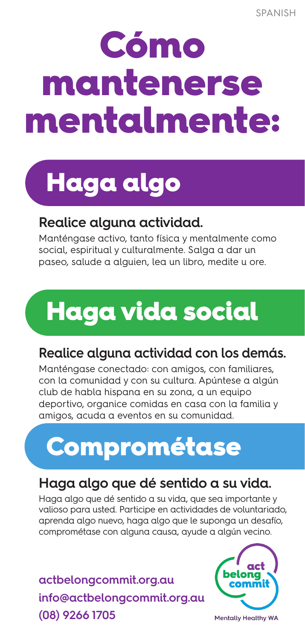# **Cómo** mantenerse mentalmente:



### **Realice alguna actividad.**

Manténgase activo, tanto física y mentalmente como social, espiritual y culturalmente. Salga a dar un paseo, salude a alguien, lea un libro, medite u ore.

## Haga vida social

### **Realice alguna actividad con los demás.**

Manténgase conectado: con amigos, con familiares, con la comunidad y con su cultura. Apúntese a algún club de habla hispana en su zona, a un equipo deportivo, organice comidas en casa con la familia y amigos, acuda a eventos en su comunidad.

### Comprométase

### **Haga algo que dé sentido a su vida.**

Haga algo que dé sentido a su vida, que sea importante y valioso para usted. Participe en actividades de voluntariado, aprenda algo nuevo, haga algo que le suponga un desafío, comprométase con alguna causa, ayude a algún vecino.

**actbelongcommit.org.au info@actbelongcommit.org.au (08) 9266 1705**



**Mentally Healthy WA**